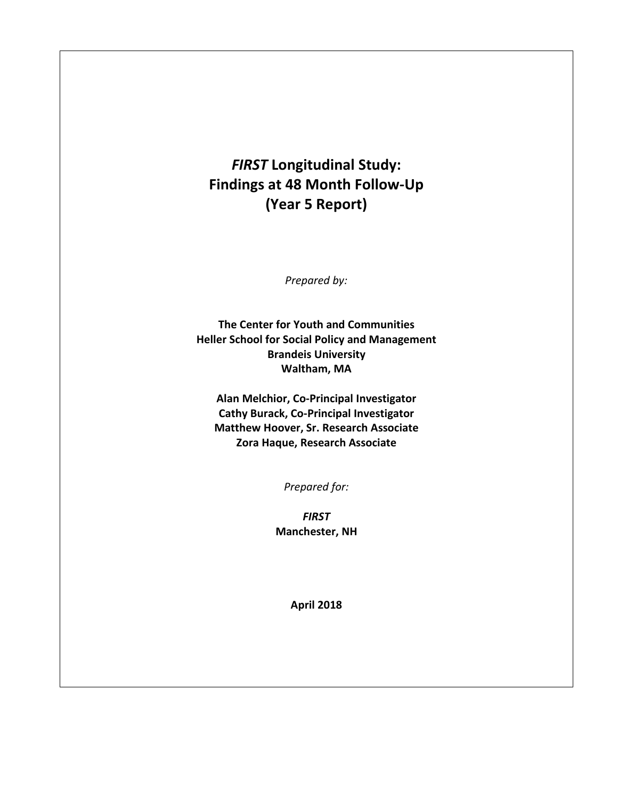## *FIRST* **Longitudinal Study: Findings at 48 Month Follow-Up (Year 5 Report)**

*Prepared by:* 

**The Center for Youth and Communities Heller School for Social Policy and Management Brandeis University Waltham, MA** 

**Alan Melchior, Co-Principal Investigator Cathy Burack, Co-Principal Investigator Matthew Hoover, Sr. Research Associate Zora Haque, Research Associate** 

*Prepared for:* 

*FIRST* **Manchester, NH** 

**April 2018**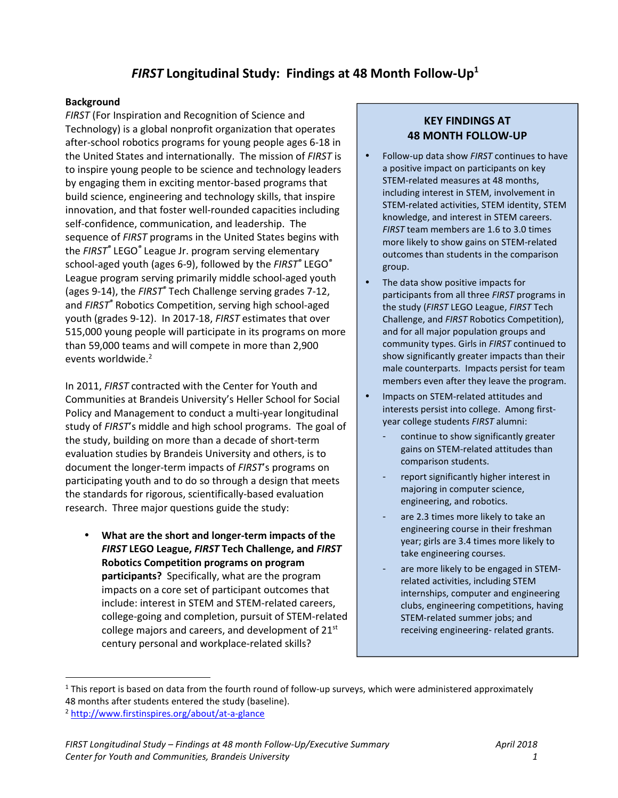## *FIRST* **Longitudinal Study: Findings at 48 Month Follow-Up 1**

#### **Background**

*FIRST* (For Inspiration and Recognition of Science and Technology) is a global nonprofit organization that operates after-school robotics programs for young people ages 6-18 in the United States and internationally. The mission of *FIRST* is to inspire young people to be science and technology leaders by engaging them in exciting mentor-based programs that build science, engineering and technology skills, that inspire innovation, and that foster well-rounded capacities including self-confidence, communication, and leadership. The sequence of *FIRST* programs in the United States begins with the *FIRST®* LEGO*®* League Jr. program serving elementary school-aged youth (ages 6-9), followed by the *FIRST®* LEGO*®* League program serving primarily middle school-aged youth (ages 9-14), the *FIRST®* Tech Challenge serving grades 7-12, and *FIRST®* Robotics Competition, serving high school-aged youth (grades 9-12). In 2017-18, *FIRST* estimates that over 515,000 young people will participate in its programs on more than 59,000 teams and will compete in more than 2,900 events worldwide.<sup>2</sup>

In 2011, *FIRST* contracted with the Center for Youth and Communities at Brandeis University's Heller School for Social Policy and Management to conduct a multi-year longitudinal study of *FIRST*'s middle and high school programs. The goal of the study, building on more than a decade of short-term evaluation studies by Brandeis University and others, is to document the longer-term impacts of *FIRST*'s programs on participating youth and to do so through a design that meets the standards for rigorous, scientifically-based evaluation research. Three major questions guide the study:

• **What are the short and longer-term impacts of the**  *FIRST* **LEGO League,** *FIRST* **Tech Challenge, and** *FIRST* **Robotics Competition programs on program participants?** Specifically, what are the program impacts on a core set of participant outcomes that include: interest in STEM and STEM-related careers, college-going and completion, pursuit of STEM-related college majors and careers, and development of 21st century personal and workplace-related skills?

### **KEY FINDINGS AT 48 MONTH FOLLOW-UP**

- Follow-up data show *FIRST* continues to have a positive impact on participants on key STEM-related measures at 48 months, including interest in STEM, involvement in STEM-related activities, STEM identity, STEM knowledge, and interest in STEM careers. *FIRST* team members are 1.6 to 3.0 times more likely to show gains on STEM-related outcomes than students in the comparison group.
- The data show positive impacts for participants from all three *FIRST* programs in the study (*FIRST* LEGO League, *FIRST* Tech Challenge, and *FIRST* Robotics Competition), and for all major population groups and community types. Girls in *FIRST* continued to show significantly greater impacts than their male counterparts. Impacts persist for team members even after they leave the program.
- Impacts on STEM-related attitudes and interests persist into college. Among firstyear college students *FIRST* alumni:
	- continue to show significantly greater gains on STEM-related attitudes than comparison students.
	- report significantly higher interest in majoring in computer science, engineering, and robotics.
	- are 2.3 times more likely to take an engineering course in their freshman year; girls are 3.4 times more likely to take engineering courses.
	- are more likely to be engaged in STEMrelated activities, including STEM internships, computer and engineering clubs, engineering competitions, having STEM-related summer jobs; and receiving engineering- related grants.

l

 $1$  This report is based on data from the fourth round of follow-up surveys, which were administered approximately 48 months after students entered the study (baseline).

<sup>2</sup> http://www.firstinspires.org/about/at-a-glance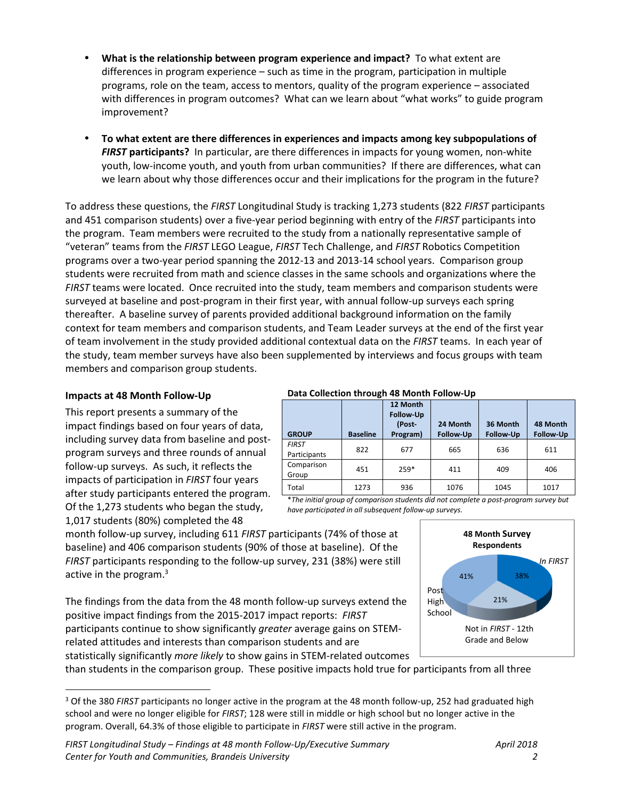- **What is the relationship between program experience and impact?** To what extent are differences in program experience – such as time in the program, participation in multiple programs, role on the team, access to mentors, quality of the program experience – associated with differences in program outcomes? What can we learn about "what works" to guide program improvement?
- **To what extent are there differences in experiences and impacts among key subpopulations of**  *FIRST* **participants?** In particular, are there differences in impacts for young women, non-white youth, low-income youth, and youth from urban communities? If there are differences, what can we learn about why those differences occur and their implications for the program in the future?

To address these questions, the *FIRST* Longitudinal Study is tracking 1,273 students (822 *FIRST* participants and 451 comparison students) over a five-year period beginning with entry of the *FIRST* participants into the program. Team members were recruited to the study from a nationally representative sample of "veteran" teams from the *FIRST* LEGO League, *FIRST* Tech Challenge, and *FIRST* Robotics Competition programs over a two-year period spanning the 2012-13 and 2013-14 school years. Comparison group students were recruited from math and science classes in the same schools and organizations where the *FIRST* teams were located. Once recruited into the study, team members and comparison students were surveyed at baseline and post-program in their first year, with annual follow-up surveys each spring thereafter. A baseline survey of parents provided additional background information on the family context for team members and comparison students, and Team Leader surveys at the end of the first year of team involvement in the study provided additional contextual data on the *FIRST* teams. In each year of the study, team member surveys have also been supplemented by interviews and focus groups with team members and comparison group students.

#### **Impacts at 48 Month Follow-Up**

l

This report presents a summary of the impact findings based on four years of data, including survey data from baseline and postprogram surveys and three rounds of annual follow-up surveys. As such, it reflects the impacts of participation in *FIRST* four years after study participants entered the program. Of the 1,273 students who began the study, 1,017 students (80%) completed the 48

#### **Data Collection through 48 Month Follow-Up**

| <b>GROUP</b>                 | <b>Baseline</b> | 12 Month<br><b>Follow-Up</b><br>(Post-<br>Program) | 24 Month<br><b>Follow-Up</b> | 36 Month<br><b>Follow-Up</b> | 48 Month<br><b>Follow-Up</b> |
|------------------------------|-----------------|----------------------------------------------------|------------------------------|------------------------------|------------------------------|
| <b>FIRST</b><br>Participants | 822             | 677                                                | 665                          | 636                          | 611                          |
| Comparison<br>Group          | 451             | $259*$                                             | 411                          | 409                          | 406                          |
| Total                        | 1273            | 936                                                | 1076                         | 1045                         | 1017                         |

\**The initial group of comparison students did not complete a post-program survey but have participated in all subsequent follow-up surveys.*

month follow-up survey, including 611 *FIRST* participants (74% of those at baseline) and 406 comparison students (90% of those at baseline). Of the *FIRST* participants responding to the follow-up survey, 231 (38%) were still active in the program. $3$ 

The findings from the data from the 48 month follow-up surveys extend the positive impact findings from the 2015-2017 impact reports: *FIRST* participants continue to show significantly *greater* average gains on STEMrelated attitudes and interests than comparison students and are statistically significantly *more likely* to show gains in STEM-related outcomes

than students in the comparison group. These positive impacts hold true for participants from all three



<sup>3</sup> Of the 380 *FIRST* participants no longer active in the program at the 48 month follow-up, 252 had graduated high school and were no longer eligible for *FIRST*; 128 were still in middle or high school but no longer active in the program. Overall, 64.3% of those eligible to participate in *FIRST* were still active in the program.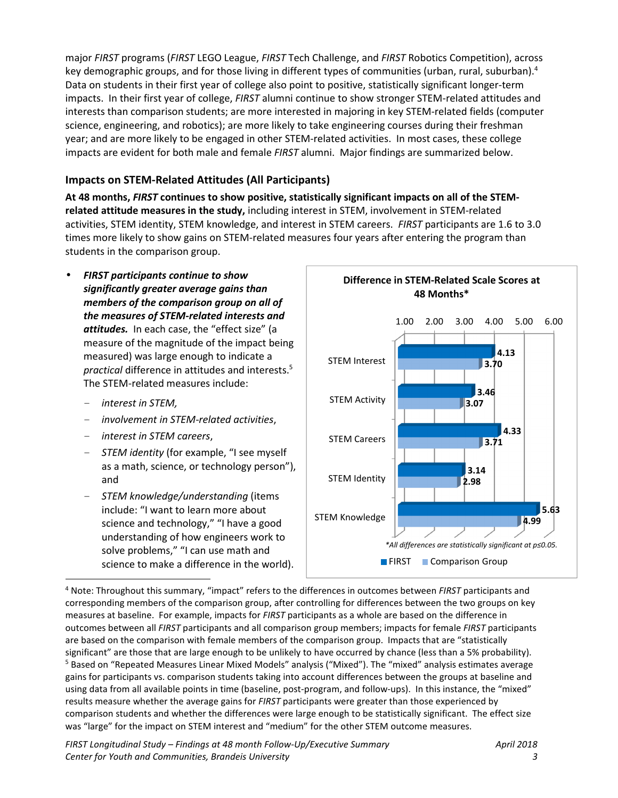major *FIRST* programs (*FIRST* LEGO League, *FIRST* Tech Challenge, and *FIRST* Robotics Competition), across key demographic groups, and for those living in different types of communities (urban, rural, suburban).<sup>4</sup> Data on students in their first year of college also point to positive, statistically significant longer-term impacts. In their first year of college, *FIRST* alumni continue to show stronger STEM-related attitudes and interests than comparison students; are more interested in majoring in key STEM-related fields (computer science, engineering, and robotics); are more likely to take engineering courses during their freshman year; and are more likely to be engaged in other STEM-related activities. In most cases, these college impacts are evident for both male and female *FIRST* alumni. Major findings are summarized below.

## **Impacts on STEM-Related Attitudes (All Participants)**

**At 48 months,** *FIRST* **continues to show positive, statistically significant impacts on all of the STEMrelated attitude measures in the study,** including interest in STEM, involvement in STEM-related activities, STEM identity, STEM knowledge, and interest in STEM careers. *FIRST* participants are 1.6 to 3.0 times more likely to show gains on STEM-related measures four years after entering the program than students in the comparison group.

- *FIRST participants continue to show significantly greater average gains than members of the comparison group on all of the measures of STEM-related interests and attitudes.* In each case, the "effect size" (a measure of the magnitude of the impact being measured) was large enough to indicate a *practical* difference in attitudes and interests.<sup>5</sup> The STEM-related measures include:
	- *interest in STEM,*
	- *involvement in STEM-related activities*,
	- *interest in STEM careers*,
	- *STEM identity* (for example, "I see myself as a math, science, or technology person"), and
	- *STEM knowledge/understanding* (items include: "I want to learn more about science and technology," "I have a good understanding of how engineers work to solve problems," "I can use math and science to make a difference in the world).



l 4 Note: Throughout this summary, "impact" refers to the differences in outcomes between *FIRST* participants and corresponding members of the comparison group, after controlling for differences between the two groups on key measures at baseline. For example, impacts for *FIRST* participants as a whole are based on the difference in outcomes between all *FIRST* participants and all comparison group members; impacts for female *FIRST* participants are based on the comparison with female members of the comparison group. Impacts that are "statistically significant" are those that are large enough to be unlikely to have occurred by chance (less than a 5% probability). <sup>5</sup> Based on "Repeated Measures Linear Mixed Models" analysis ("Mixed"). The "mixed" analysis estimates average gains for participants vs. comparison students taking into account differences between the groups at baseline and using data from all available points in time (baseline, post-program, and follow-ups). In this instance, the "mixed" results measure whether the average gains for *FIRST* participants were greater than those experienced by comparison students and whether the differences were large enough to be statistically significant. The effect size was "large" for the impact on STEM interest and "medium" for the other STEM outcome measures.

*FIRST Longitudinal Study – Findings at 48 month Follow-Up/Executive Summary April 2018 Center for Youth and Communities, Brandeis University 3*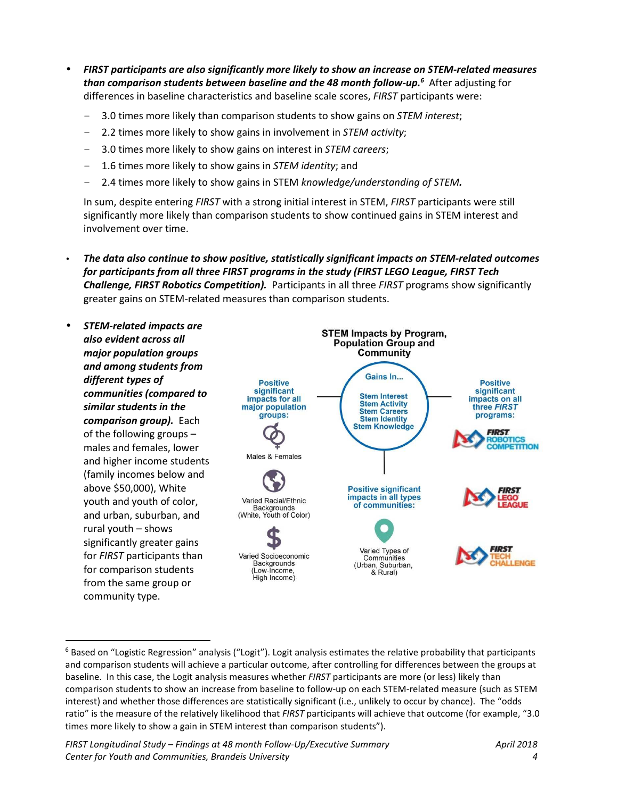- *FIRST participants are also significantly more likely to show an increase on STEM-related measures*  **than comparison students between baseline and the 48 month follow-up.<sup>6</sup> After adjusting for** differences in baseline characteristics and baseline scale scores, *FIRST* participants were:
	- 3.0 times more likely than comparison students to show gains on *STEM interest*;
	- 2.2 times more likely to show gains in involvement in *STEM activity*;
	- 3.0 times more likely to show gains on interest in *STEM careers*;
	- 1.6 times more likely to show gains in *STEM identity*; and
	- 2.4 times more likely to show gains in STEM *knowledge/understanding of STEM.*

In sum, despite entering *FIRST* with a strong initial interest in STEM, *FIRST* participants were still significantly more likely than comparison students to show continued gains in STEM interest and involvement over time.

• *The data also continue to show positive, statistically significant impacts on STEM-related outcomes for participants from all three FIRST programs in the study (FIRST LEGO League, FIRST Tech Challenge, FIRST Robotics Competition).* Participants in all three *FIRST* programs show significantly greater gains on STEM-related measures than comparison students.



<sup>&</sup>lt;sup>6</sup> Based on "Logistic Regression" analysis ("Logit"). Logit analysis estimates the relative probability that participants and comparison students will achieve a particular outcome, after controlling for differences between the groups at baseline. In this case, the Logit analysis measures whether *FIRST* participants are more (or less) likely than comparison students to show an increase from baseline to follow-up on each STEM-related measure (such as STEM interest) and whether those differences are statistically significant (i.e., unlikely to occur by chance). The "odds ratio" is the measure of the relatively likelihood that *FIRST* participants will achieve that outcome (for example, "3.0 times more likely to show a gain in STEM interest than comparison students").

l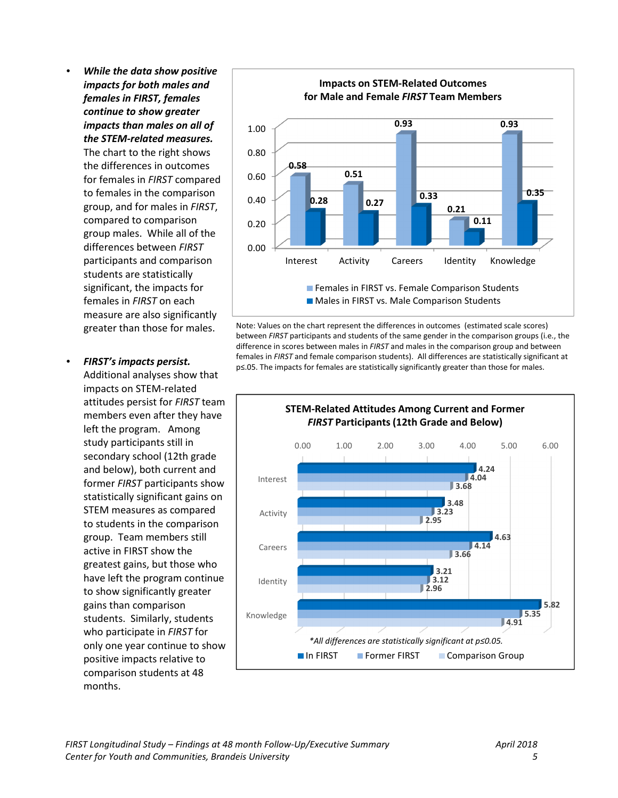• *While the data show positive impacts for both males and females in FIRST, females continue to show greater impacts than males on all of the STEM-related measures.*  The chart to the right shows the differences in outcomes for females in *FIRST* compared to females in the comparison group, and for males in *FIRST*, compared to comparison group males. While all of the differences between *FIRST* participants and comparison students are statistically significant, the impacts for females in *FIRST* on each measure are also significantly greater than those for males.

# • *FIRST's impacts persist.*

Additional analyses show that impacts on STEM-related attitudes persist for *FIRST* team members even after they have left the program. Among study participants still in secondary school (12th grade and below), both current and former *FIRST* participants show statistically significant gains on STEM measures as compared to students in the comparison group. Team members still active in FIRST show the greatest gains, but those who have left the program continue to show significantly greater gains than comparison students. Similarly, students who participate in *FIRST* for only one year continue to show positive impacts relative to comparison students at 48 months.



Note: Values on the chart represent the differences in outcomes (estimated scale scores) between *FIRST* participants and students of the same gender in the comparison groups (i.e., the difference in scores between males in *FIRST* and males in the comparison group and between females in *FIRST* and female comparison students). All differences are statistically significant at p≤.05. The impacts for females are statistically significantly greater than those for males.

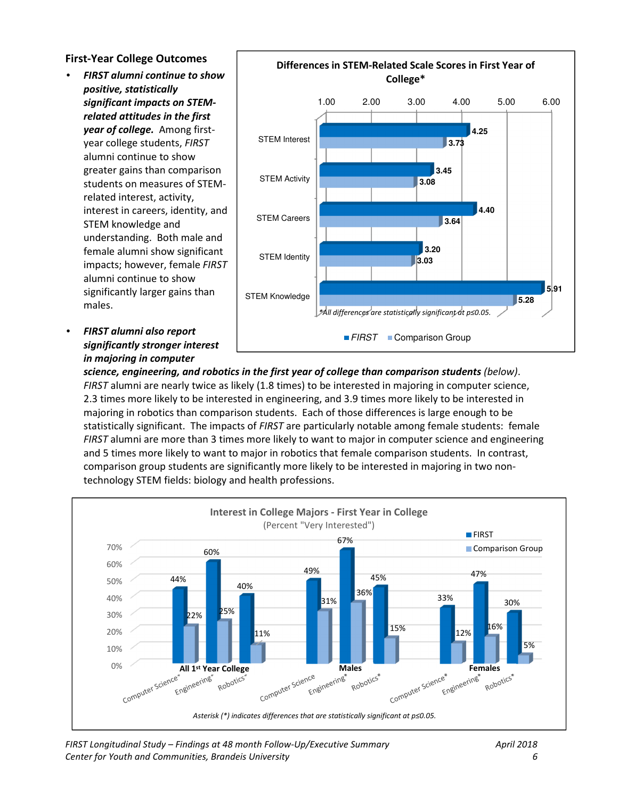#### **First-Year College Outcomes**

- *FIRST alumni continue to show positive, statistically significant impacts on STEMrelated attitudes in the first year of college.* Among firstyear college students, *FIRST* alumni continue to show greater gains than comparison students on measures of STEMrelated interest, activity, interest in careers, identity, and STEM knowledge and understanding. Both male and female alumni show significant impacts; however, female *FIRST*  alumni continue to show significantly larger gains than males.
- *FIRST alumni also report significantly stronger interest in majoring in computer*



*science, engineering, and robotics in the first year of college than comparison students (below)*. *FIRST* alumni are nearly twice as likely (1.8 times) to be interested in majoring in computer science, 2.3 times more likely to be interested in engineering, and 3.9 times more likely to be interested in majoring in robotics than comparison students. Each of those differences is large enough to be statistically significant. The impacts of *FIRST* are particularly notable among female students: female *FIRST* alumni are more than 3 times more likely to want to major in computer science and engineering and 5 times more likely to want to major in robotics that female comparison students. In contrast, comparison group students are significantly more likely to be interested in majoring in two nontechnology STEM fields: biology and health professions.